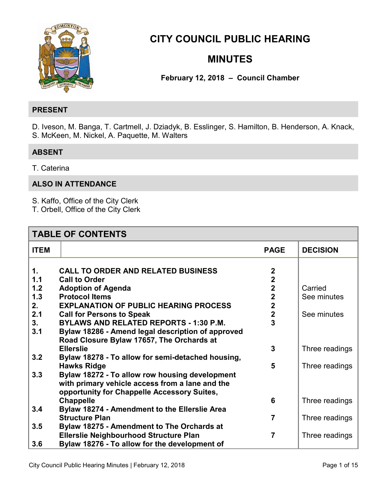

**[CITY COUNCIL PUBLIC HE](#page-7-0)ARING** 

# **MINUTES**

**February 12, 2018 – Council Chamber** 

# **PRESENT**

D. Iveson, M. Banga, T. Cartmell, J. Dziadyk, B. Esslinger, S. Hamilton, B. Henderson, A. Knack, S. McKeen, M. Nickel, A. Paquette, M. Walters

# **ABSENT**

T. Caterina

# **ALSO IN ATTENDANCE**

S. Kaffo, Office of the City Clerk

T. Orbell, Office of the City Clerk

| <b>TABLE OF CONTENTS</b> |                                                   |                         |                 |  |  |
|--------------------------|---------------------------------------------------|-------------------------|-----------------|--|--|
| <b>ITEM</b>              |                                                   | <b>PAGE</b>             | <b>DECISION</b> |  |  |
|                          |                                                   |                         |                 |  |  |
| 1.                       | <b>CALL TO ORDER AND RELATED BUSINESS</b>         | $\mathbf 2$             |                 |  |  |
| 1.1                      | <b>Call to Order</b>                              | $\overline{2}$          |                 |  |  |
| 1.2                      | <b>Adoption of Agenda</b>                         | $\mathbf 2$             | Carried         |  |  |
| 1.3                      | <b>Protocol Items</b>                             | $\overline{\mathbf{2}}$ | See minutes     |  |  |
| 2.                       | <b>EXPLANATION OF PUBLIC HEARING PROCESS</b>      | $\overline{\mathbf{2}}$ |                 |  |  |
| 2.1                      | <b>Call for Persons to Speak</b>                  | $\mathbf{2}$            | See minutes     |  |  |
| 3.                       | <b>BYLAWS AND RELATED REPORTS - 1:30 P.M.</b>     | 3                       |                 |  |  |
| 3.1                      | Bylaw 18286 - Amend legal description of approved |                         |                 |  |  |
|                          | Road Closure Bylaw 17657, The Orchards at         |                         |                 |  |  |
|                          | <b>Ellerslie</b>                                  | 3                       | Three readings  |  |  |
| 3.2                      | Bylaw 18278 - To allow for semi-detached housing, |                         |                 |  |  |
|                          | <b>Hawks Ridge</b>                                | 5                       | Three readings  |  |  |
| 3.3                      | Bylaw 18272 - To allow row housing development    |                         |                 |  |  |
|                          | with primary vehicle access from a lane and the   |                         |                 |  |  |
|                          | opportunity for Chappelle Accessory Suites,       |                         |                 |  |  |
|                          | <b>Chappelle</b>                                  | 6                       | Three readings  |  |  |
| 3.4                      | Bylaw 18274 - Amendment to the Ellerslie Area     |                         |                 |  |  |
|                          | <b>Structure Plan</b>                             | 7                       | Three readings  |  |  |
| 3.5                      | Bylaw 18275 - Amendment to The Orchards at        |                         |                 |  |  |
|                          | <b>Ellerslie Neighbourhood Structure Plan</b>     | $\overline{7}$          | Three readings  |  |  |
| 3.6                      | Bylaw 18276 - To allow for the development of     |                         |                 |  |  |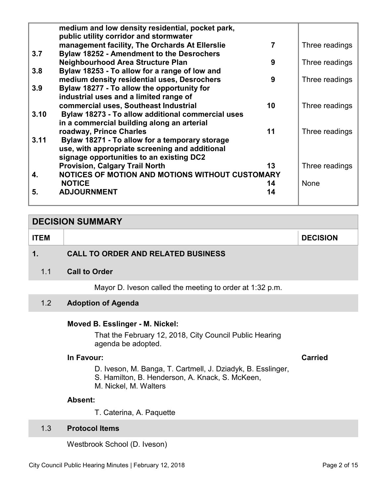<span id="page-1-0"></span>

|      | medium and low density residential, pocket park,<br>public utility corridor and stormwater |    |                |
|------|--------------------------------------------------------------------------------------------|----|----------------|
|      | management facility, The Orchards At Ellerslie                                             | 7  | Three readings |
| 3.7  | <b>Bylaw 18252 - Amendment to the Desrochers</b>                                           |    |                |
|      | <b>Neighbourhood Area Structure Plan</b>                                                   | 9  | Three readings |
| 3.8  | Bylaw 18253 - To allow for a range of low and                                              |    |                |
|      | medium density residential uses, Desrochers                                                | 9  | Three readings |
| 3.9  | Bylaw 18277 - To allow the opportunity for                                                 |    |                |
|      | industrial uses and a limited range of                                                     |    |                |
|      | commercial uses, Southeast Industrial                                                      | 10 | Three readings |
| 3.10 | Bylaw 18273 - To allow additional commercial uses                                          |    |                |
|      | in a commercial building along an arterial                                                 |    |                |
|      | roadway, Prince Charles                                                                    | 11 | Three readings |
| 3.11 | Bylaw 18271 - To allow for a temporary storage                                             |    |                |
|      | use, with appropriate screening and additional                                             |    |                |
|      | signage opportunities to an existing DC2                                                   |    |                |
|      | <b>Provision, Calgary Trail North</b>                                                      | 13 | Three readings |
| 4.   | NOTICES OF MOTION AND MOTIONS WITHOUT CUSTOMARY                                            |    |                |
|      | <b>NOTICE</b>                                                                              | 14 | <b>None</b>    |
| 5.   | <b>ADJOURNMENT</b>                                                                         | 14 |                |
|      |                                                                                            |    |                |

# **DECISION SUMMARY ITEM DECISION 1. CALL TO ORDER AND RELATED BUSINESS**

1.1 **Call to Order** 

Mayor D. Iveson called the meeting to order at 1:32 p.m.

# 1.2 **Adoption of Agenda**

#### **Moved B. Esslinger - M. Nickel:**

That the February 12, 2018, City Council Public Hearing agenda be adopted.

#### **In Favour: Carried**

- D. Iveson, M. Banga, T. Cartmell, J. Dziadyk, B. Esslinger, S. Hamilton, B. Henderson, A. Knack, S. McKeen,
- M. Nickel, M. Walters

# **Absent:**

T. Caterina, A. Paquette

# 1.3 **Protocol Items**

Westbrook School (D. Iveson)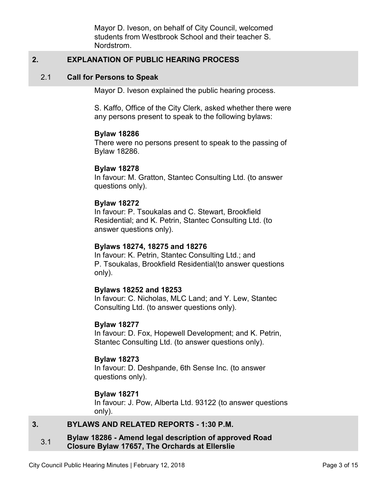Mayor D. Iveson, on behalf of City Council, welcomed students from Westbrook School and their teacher S. Nordstrom.

# <span id="page-2-0"></span>**2. EXPLANATION OF PUBLIC HEARING PROCESS**

#### 2.1 **Call for Persons to Speak**

Mayor D. Iveson explained the public hearing process.

S. Kaffo, Office of the City Clerk, asked whether there were any persons present to speak to the following bylaws:

#### **Bylaw 18286**

There were no persons present to speak to the passing of Bylaw 18286.

#### **Bylaw 18278**

In favour: M. Gratton, Stantec Consulting Ltd. (to answer questions only).

#### **Bylaw 18272**

In favour: P. Tsoukalas and C. Stewart, Brookfield Residential; and K. Petrin, Stantec Consulting Ltd. (to answer questions only).

#### **Bylaws 18274, 18275 and 18276**

In favour: K. Petrin, Stantec Consulting Ltd.; and P. Tsoukalas, Brookfield Residential(to answer questions only).

#### **Bylaws 18252 and 18253**

In favour: C. Nicholas, MLC Land; and Y. Lew, Stantec Consulting Ltd. (to answer questions only).

#### **Bylaw 18277**

In favour: D. Fox, Hopewell Development; and K. Petrin, Stantec Consulting Ltd. (to answer questions only).

#### **Bylaw 18273**

In favour: D. Deshpande, 6th Sense Inc. (to answer questions only).

#### **Bylaw 18271**

In favour: J. Pow, Alberta Ltd. 93122 (to answer questions only).

# **3. BYLAWS AND RELATED REPORTS - 1:30 P.M.**

#### 3.1 **Bylaw 18286 - Amend legal description of approved Road Closure Bylaw 17657, The Orchards at Ellerslie**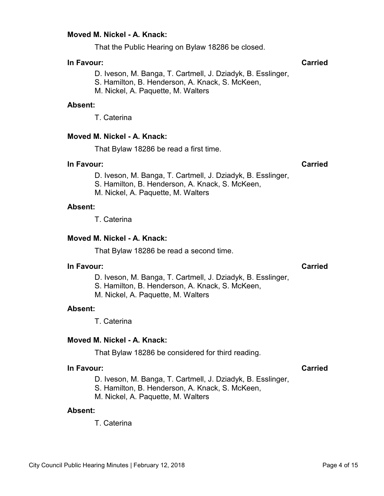That the Public Hearing on Bylaw 18286 be closed.

# **In Favour: Carried**

D. Iveson, M. Banga, T. Cartmell, J. Dziadyk, B. Esslinger,

S. Hamilton, B. Henderson, A. Knack, S. McKeen,

M. Nickel, A. Paquette, M. Walters

#### **Absent:**

T. Caterina

#### **Moved M. Nickel - A. Knack:**

That Bylaw 18286 be read a first time.

### **In Favour: Carried**

D. Iveson, M. Banga, T. Cartmell, J. Dziadyk, B. Esslinger,

S. Hamilton, B. Henderson, A. Knack, S. McKeen,

M. Nickel, A. Paquette, M. Walters

#### **Absent:**

T. Caterina

# **Moved M. Nickel - A. Knack:**

That Bylaw 18286 be read a second time.

### **In Favour: Carried**

D. Iveson, M. Banga, T. Cartmell, J. Dziadyk, B. Esslinger,

S. Hamilton, B. Henderson, A. Knack, S. McKeen,

M. Nickel, A. Paquette, M. Walters

#### **Absent:**

T. Caterina

#### **Moved M. Nickel - A. Knack:**

That Bylaw 18286 be considered for third reading.

#### **In Favour: Carried**

D. Iveson, M. Banga, T. Cartmell, J. Dziadyk, B. Esslinger,

S. Hamilton, B. Henderson, A. Knack, S. McKeen,

M. Nickel, A. Paquette, M. Walters

#### **Absent:**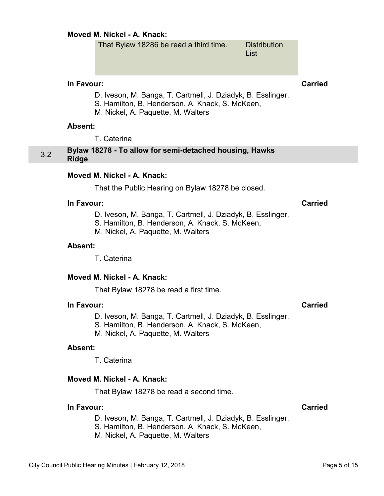That Bylaw 18286 be read a third time. Distribution List

<span id="page-4-0"></span>**In Favour: Carried**

- D. Iveson, M. Banga, T. Cartmell, J. Dziadyk, B. Esslinger,
- S. Hamilton, B. Henderson, A. Knack, S. McKeen,
- M. Nickel, A. Paquette, M. Walters

#### **Absent:**

T. Caterina

# 3.2 **Bylaw 18278 - To allow for semi-detached housing, Hawks Ridge**

# **Moved M. Nickel - A. Knack:**

That the Public Hearing on Bylaw 18278 be closed.

### **In Favour: Carried**

- D. Iveson, M. Banga, T. Cartmell, J. Dziadyk, B. Esslinger,
- S. Hamilton, B. Henderson, A. Knack, S. McKeen,
- M. Nickel, A. Paquette, M. Walters

#### **Absent:**

T. Caterina

#### **Moved M. Nickel - A. Knack:**

That Bylaw 18278 be read a first time.

#### **In Favour: Carried**

- D. Iveson, M. Banga, T. Cartmell, J. Dziadyk, B. Esslinger,
- S. Hamilton, B. Henderson, A. Knack, S. McKeen,
- M. Nickel, A. Paquette, M. Walters

#### **Absent:**

T. Caterina

#### **Moved M. Nickel - A. Knack:**

That Bylaw 18278 be read a second time.

#### **In Favour: Carried**

D. Iveson, M. Banga, T. Cartmell, J. Dziadyk, B. Esslinger,

S. Hamilton, B. Henderson, A. Knack, S. McKeen,

M. Nickel, A. Paquette, M. Walters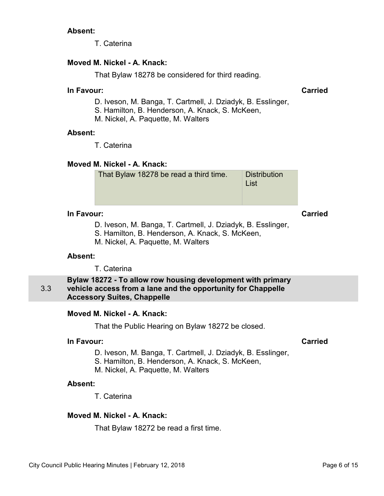T. Caterina

# <span id="page-5-0"></span>**Moved M. Nickel - A. Knack:**

That Bylaw 18278 be considered for third reading.

## **In Favour: Carried**

- D. Iveson, M. Banga, T. Cartmell, J. Dziadyk, B. Esslinger,
- S. Hamilton, B. Henderson, A. Knack, S. McKeen,
- M. Nickel, A. Paquette, M. Walters

### **Absent:**

T. Caterina

# **Moved M. Nickel - A. Knack:**

| That Bylaw 18278 be read a third time. | <b>Distribution</b><br>List |
|----------------------------------------|-----------------------------|
|                                        |                             |

# **In Favour: Carried**

- D. Iveson, M. Banga, T. Cartmell, J. Dziadyk, B. Esslinger,
- S. Hamilton, B. Henderson, A. Knack, S. McKeen,
- M. Nickel, A. Paquette, M. Walters

# **Absent:**

T. Caterina

#### 3.3 **Bylaw 18272 - To allow row housing development with primary vehicle access from a lane and the opportunity for Chappelle Accessory Suites, Chappelle**

# **Moved M. Nickel - A. Knack:**

That the Public Hearing on Bylaw 18272 be closed.

# **In Favour: Carried**

- D. Iveson, M. Banga, T. Cartmell, J. Dziadyk, B. Esslinger,
- S. Hamilton, B. Henderson, A. Knack, S. McKeen,
- M. Nickel, A. Paquette, M. Walters

# **Absent:**

T. Caterina

# **Moved M. Nickel - A. Knack:**

That Bylaw 18272 be read a first time.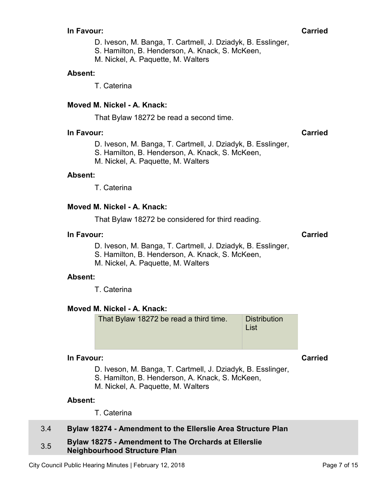#### <span id="page-6-0"></span>**In Favour: Carried**

D. Iveson, M. Banga, T. Cartmell, J. Dziadyk, B. Esslinger,

S. Hamilton, B. Henderson, A. Knack, S. McKeen,

M. Nickel, A. Paquette, M. Walters

### **Absent:**

T. Caterina

# **Moved M. Nickel - A. Knack:**

That Bylaw 18272 be read a second time.

### **In Favour: Carried**

D. Iveson, M. Banga, T. Cartmell, J. Dziadyk, B. Esslinger,

S. Hamilton, B. Henderson, A. Knack, S. McKeen,

M. Nickel, A. Paquette, M. Walters

### **Absent:**

T. Caterina

### **Moved M. Nickel - A. Knack:**

That Bylaw 18272 be considered for third reading.

### **In Favour: Carried**

- D. Iveson, M. Banga, T. Cartmell, J. Dziadyk, B. Esslinger,
- S. Hamilton, B. Henderson, A. Knack, S. McKeen,
- M. Nickel, A. Paquette, M. Walters

#### **Absent:**

T. Caterina

# **Moved M. Nickel - A. Knack:**

That Bylaw 18272 be read a third time. Distribution List

# **In Favour: Carried**

D. Iveson, M. Banga, T. Cartmell, J. Dziadyk, B. Esslinger,

S. Hamilton, B. Henderson, A. Knack, S. McKeen,

M. Nickel, A. Paquette, M. Walters

#### **Absent:**

T. Caterina

# 3.4 **Bylaw 18274 - Amendment to the Ellerslie Area Structure Plan**

#### 3.5 **Bylaw 18275 - Amendment to The Orchards at Ellerslie Neighbourhood Structure Plan**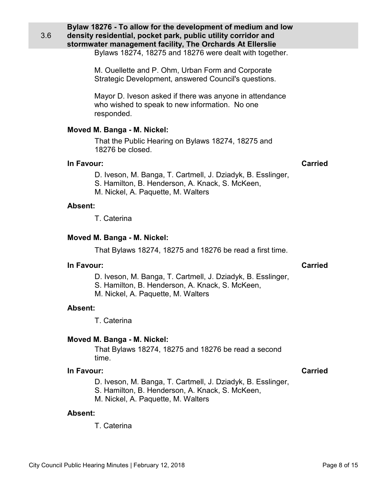<span id="page-7-0"></span>3.6

**Bylaw 18276 - To allow for the development of medium and low density residential, pocket park, public utility corridor and stormwater management facility, The Orchards At Ellerslie** 

Bylaws 18274, 18275 and 18276 were dealt with together.

M. Ouellette and P. Ohm, Urban Form and Corporate Strategic Development, answered Council's questions.

Mayor D. Iveson asked if there was anyone in attendance who wished to speak to new information. No one responded.

# **Moved M. Banga - M. Nickel:**

That the Public Hearing on Bylaws 18274, 18275 and 18276 be closed.

### **In Favour:** Carried Carried Carried Carried Carried Carried Carried Carried Carried Carried Carried Carried Carried Carried Carried Carried Carried Carried Carried Carried Carried Carried Carried Carried Carried Carried C

- D. Iveson, M. Banga, T. Cartmell, J. Dziadyk, B. Esslinger,
- S. Hamilton, B. Henderson, A. Knack, S. McKeen,
- M. Nickel, A. Paquette, M. Walters

### **Absent:**

T. Caterina

# **Moved M. Banga - M. Nickel:**

That Bylaws 18274, 18275 and 18276 be read a first time.

#### **In Favour: Carried**

- D. Iveson, M. Banga, T. Cartmell, J. Dziadyk, B. Esslinger,
- S. Hamilton, B. Henderson, A. Knack, S. McKeen,
- M. Nickel, A. Paquette, M. Walters

# **Absent:**

T. Caterina

# **Moved M. Banga - M. Nickel:**

That Bylaws 18274, 18275 and 18276 be read a second time.

# **In Favour: Carried**

- D. Iveson, M. Banga, T. Cartmell, J. Dziadyk, B. Esslinger,
- S. Hamilton, B. Henderson, A. Knack, S. McKeen,
- M. Nickel, A. Paquette, M. Walters

### **Absent:**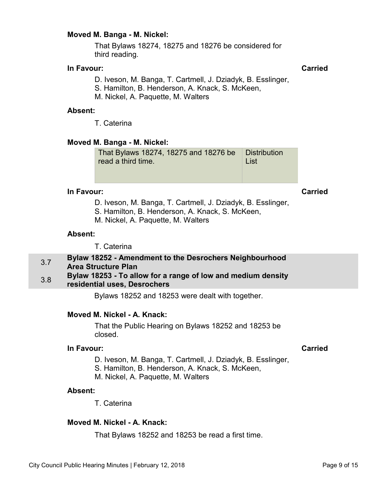#### <span id="page-8-0"></span>**Moved M. Banga - M. Nickel:**

That Bylaws 18274, 18275 and 18276 be considered for third reading.

#### **In Favour:** Carried Carried Carried Carried Carried Carried Carried Carried Carried Carried Carried Carried Carried Carried Carried Carried Carried Carried Carried Carried Carried Carried Carried Carried Carried Carried C

D. Iveson, M. Banga, T. Cartmell, J. Dziadyk, B. Esslinger,

S. Hamilton, B. Henderson, A. Knack, S. McKeen,

M. Nickel, A. Paquette, M. Walters

#### **Absent:**

T. Caterina

### **Moved M. Banga - M. Nickel:**

That Bylaws 18274, 18275 and 18276 be read a third time. **Distribution** List

# **In Favour: Carried**

D. Iveson, M. Banga, T. Cartmell, J. Dziadyk, B. Esslinger,

S. Hamilton, B. Henderson, A. Knack, S. McKeen,

M. Nickel, A. Paquette, M. Walters

#### **Absent:**

T. Caterina

# 3.7 **Bylaw 18252 - Amendment to the Desrochers Neighbourhood Area Structure Plan**

#### 3.8 **Bylaw 18253 - To allow for a range of low and medium density residential uses, Desrochers**

Bylaws 18252 and 18253 were dealt with together.

# **Moved M. Nickel - A. Knack:**

That the Public Hearing on Bylaws 18252 and 18253 be closed.

## **In Favour: Carried**

- D. Iveson, M. Banga, T. Cartmell, J. Dziadyk, B. Esslinger,
- S. Hamilton, B. Henderson, A. Knack, S. McKeen,
- M. Nickel, A. Paquette, M. Walters

### **Absent:**

T. Caterina

### **Moved M. Nickel - A. Knack:**

That Bylaws 18252 and 18253 be read a first time.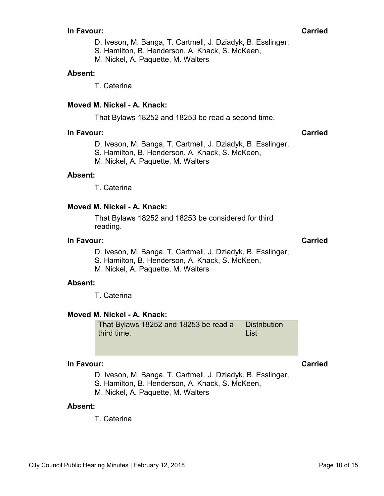#### **In Favour: Carried**

D. Iveson, M. Banga, T. Cartmell, J. Dziadyk, B. Esslinger,

S. Hamilton, B. Henderson, A. Knack, S. McKeen,

M. Nickel, A. Paquette, M. Walters

# **Absent:**

T. Caterina

# **Moved M. Nickel - A. Knack:**

That Bylaws 18252 and 18253 be read a second time.

### **In Favour: Carried**

D. Iveson, M. Banga, T. Cartmell, J. Dziadyk, B. Esslinger,

S. Hamilton, B. Henderson, A. Knack, S. McKeen,

M. Nickel, A. Paquette, M. Walters

### **Absent:**

T. Caterina

# **Moved M. Nickel - A. Knack:**

That Bylaws 18252 and 18253 be considered for third reading.

#### **In Favour: Carried**

D. Iveson, M. Banga, T. Cartmell, J. Dziadyk, B. Esslinger,

S. Hamilton, B. Henderson, A. Knack, S. McKeen,

M. Nickel, A. Paquette, M. Walters

#### **Absent:**

T. Caterina

# **Moved M. Nickel - A. Knack:**

That Bylaws 18252 and 18253 be read a third time. **Distribution** List

#### **In Favour: Carried**

D. Iveson, M. Banga, T. Cartmell, J. Dziadyk, B. Esslinger,

S. Hamilton, B. Henderson, A. Knack, S. McKeen,

M. Nickel, A. Paquette, M. Walters

#### **Absent:**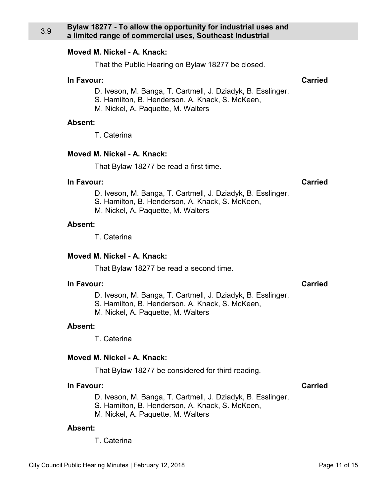That the Public Hearing on Bylaw 18277 be closed.

#### <span id="page-10-0"></span>**In Favour: Carried**

- D. Iveson, M. Banga, T. Cartmell, J. Dziadyk, B. Esslinger,
- S. Hamilton, B. Henderson, A. Knack, S. McKeen,
- M. Nickel, A. Paquette, M. Walters

# **Absent:**

T. Caterina

# **Moved M. Nickel - A. Knack:**

That Bylaw 18277 be read a first time.

### **In Favour: Carried**

- D. Iveson, M. Banga, T. Cartmell, J. Dziadyk, B. Esslinger,
- S. Hamilton, B. Henderson, A. Knack, S. McKeen,
- M. Nickel, A. Paquette, M. Walters

# **Absent:**

T. Caterina

# **Moved M. Nickel - A. Knack:**

That Bylaw 18277 be read a second time.

# **In Favour: Carried**

- D. Iveson, M. Banga, T. Cartmell, J. Dziadyk, B. Esslinger,
- S. Hamilton, B. Henderson, A. Knack, S. McKeen,
- M. Nickel, A. Paquette, M. Walters

# **Absent:**

T. Caterina

# **Moved M. Nickel - A. Knack:**

That Bylaw 18277 be considered for third reading.

# **In Favour: Carried**

- D. Iveson, M. Banga, T. Cartmell, J. Dziadyk, B. Esslinger,
- S. Hamilton, B. Henderson, A. Knack, S. McKeen,
- M. Nickel, A. Paquette, M. Walters

# **Absent:**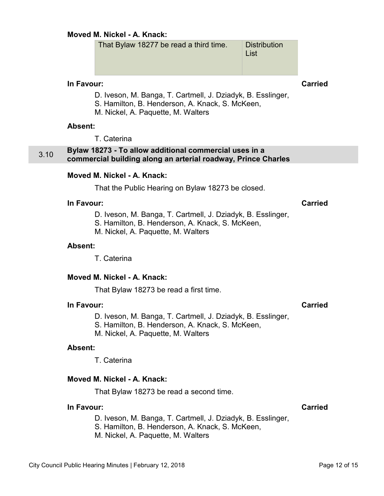That Bylaw 18277 be read a third time. Distribution

List

# <span id="page-11-0"></span>**In Favour: Carried**

- D. Iveson, M. Banga, T. Cartmell, J. Dziadyk, B. Esslinger,
- S. Hamilton, B. Henderson, A. Knack, S. McKeen,
- M. Nickel, A. Paquette, M. Walters

#### **Absent:**

T. Caterina

# 3.10 **Bylaw 18273 - To allow additional commercial uses in a commercial building along an arterial roadway, Prince Charles**

### **Moved M. Nickel - A. Knack:**

That the Public Hearing on Bylaw 18273 be closed.

# **In Favour: Carried**

D. Iveson, M. Banga, T. Cartmell, J. Dziadyk, B. Esslinger,

S. Hamilton, B. Henderson, A. Knack, S. McKeen,

M. Nickel, A. Paquette, M. Walters

#### **Absent:**

T. Caterina

#### **Moved M. Nickel - A. Knack:**

That Bylaw 18273 be read a first time.

### **In Favour: Carried**

D. Iveson, M. Banga, T. Cartmell, J. Dziadyk, B. Esslinger,

S. Hamilton, B. Henderson, A. Knack, S. McKeen,

M. Nickel, A. Paquette, M. Walters

#### **Absent:**

T. Caterina

#### **Moved M. Nickel - A. Knack:**

That Bylaw 18273 be read a second time.

#### **In Favour: Carried**

D. Iveson, M. Banga, T. Cartmell, J. Dziadyk, B. Esslinger,

S. Hamilton, B. Henderson, A. Knack, S. McKeen,

M. Nickel, A. Paquette, M. Walters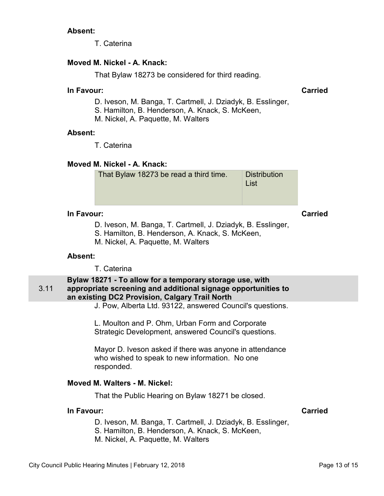T. Caterina

# <span id="page-12-0"></span>**Moved M. Nickel - A. Knack:**

That Bylaw 18273 be considered for third reading.

#### **In Favour: Carried**

- D. Iveson, M. Banga, T. Cartmell, J. Dziadyk, B. Esslinger,
- S. Hamilton, B. Henderson, A. Knack, S. McKeen,
- M. Nickel, A. Paquette, M. Walters

### **Absent:**

T. Caterina

# **Moved M. Nickel - A. Knack:**

| That Bylaw 18273 be read a third time. | <b>Distribution</b><br>List |
|----------------------------------------|-----------------------------|
|                                        |                             |

# **In Favour: Carried**

- D. Iveson, M. Banga, T. Cartmell, J. Dziadyk, B. Esslinger,
- S. Hamilton, B. Henderson, A. Knack, S. McKeen,
- M. Nickel, A. Paquette, M. Walters

# **Absent:**

T. Caterina

#### 3.11 **Bylaw 18271 - To allow for a temporary storage use, with appropriate screening and additional signage opportunities to an existing DC2 Provision, Calgary Trail North**

J. Pow, Alberta Ltd. 93122, answered Council's questions.

L. Moulton and P. Ohm, Urban Form and Corporate Strategic Development, answered Council's questions.

Mayor D. Iveson asked if there was anyone in attendance who wished to speak to new information. No one responded.

# **Moved M. Walters - M. Nickel:**

That the Public Hearing on Bylaw 18271 be closed.

# **In Favour: Carried**

D. Iveson, M. Banga, T. Cartmell, J. Dziadyk, B. Esslinger,

S. Hamilton, B. Henderson, A. Knack, S. McKeen,

M. Nickel, A. Paquette, M. Walters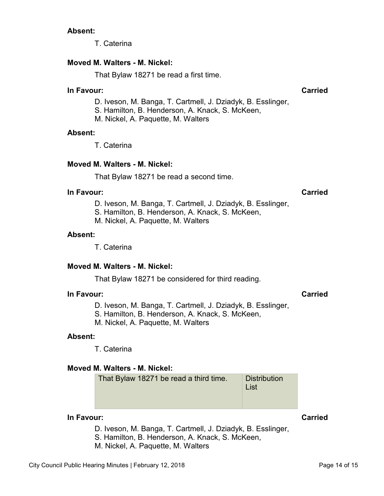T. Caterina

# **Moved M. Walters - M. Nickel:**

That Bylaw 18271 be read a first time.

#### **In Favour: Carried**

- D. Iveson, M. Banga, T. Cartmell, J. Dziadyk, B. Esslinger,
- S. Hamilton, B. Henderson, A. Knack, S. McKeen,
- M. Nickel, A. Paquette, M. Walters

### **Absent:**

T. Caterina

# **Moved M. Walters - M. Nickel:**

That Bylaw 18271 be read a second time.

#### **In Favour: Carried**

D. Iveson, M. Banga, T. Cartmell, J. Dziadyk, B. Esslinger,

S. Hamilton, B. Henderson, A. Knack, S. McKeen,

M. Nickel, A. Paquette, M. Walters

### **Absent:**

T. Caterina

# **Moved M. Walters - M. Nickel:**

That Bylaw 18271 be considered for third reading.

# **In Favour: Carried**

- D. Iveson, M. Banga, T. Cartmell, J. Dziadyk, B. Esslinger,
- S. Hamilton, B. Henderson, A. Knack, S. McKeen,
- M. Nickel, A. Paquette, M. Walters

# **Absent:**

T. Caterina

# **Moved M. Walters - M. Nickel:**

That Bylaw 18271 be read a third time. Distribution List

### **In Favour: Carried**

- D. Iveson, M. Banga, T. Cartmell, J. Dziadyk, B. Esslinger,
- S. Hamilton, B. Henderson, A. Knack, S. McKeen,
- M. Nickel, A. Paquette, M. Walters